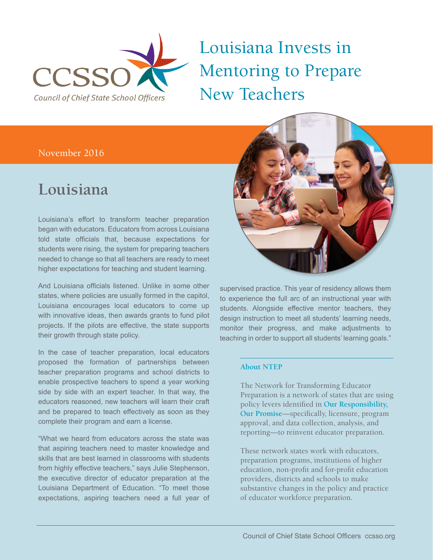

## Louisiana Invests in Mentoring to Prepare New Teachers

#### November 2016

### **Louisiana**

Louisiana's effort to transform teacher preparation began with educators. Educators from across Louisiana told state officials that, because expectations for students were rising, the system for preparing teachers needed to change so that all teachers are ready to meet higher expectations for teaching and student learning.

And Louisiana officials listened. Unlike in some other states, where policies are usually formed in the capitol, Louisiana encourages local educators to come up with innovative ideas, then awards grants to fund pilot projects. If the pilots are effective, the state supports their growth through state policy.

In the case of teacher preparation, local educators proposed the formation of partnerships between teacher preparation programs and school districts to enable prospective teachers to spend a year working side by side with an expert teacher. In that way, the educators reasoned, new teachers will learn their craft and be prepared to teach effectively as soon as they complete their program and earn a license.

"What we heard from educators across the state was that aspiring teachers need to master knowledge and skills that are best learned in classrooms with students from highly effective teachers," says Julie Stephenson, the executive director of educator preparation at the Louisiana Department of Education. "To meet those expectations, aspiring teachers need a full year of



supervised practice. This year of residency allows them to experience the full arc of an instructional year with students. Alongside effective mentor teachers, they design instruction to meet all students' learning needs, monitor their progress, and make adjustments to teaching in order to support all students' learning goals."

#### **About NTEP**

The Network for Transforming Educator Preparation is a network of states that are using policy levers identified in **Our Responsibility, Our Promise**—specifically, licensure, program approval, and data collection, analysis, and reporting—to reinvent educator preparation.

These network states work with educators, preparation programs, institutions of higher education, non-profit and for-profit education providers, districts and schools to make substantive changes in the policy and practice of educator workforce preparation.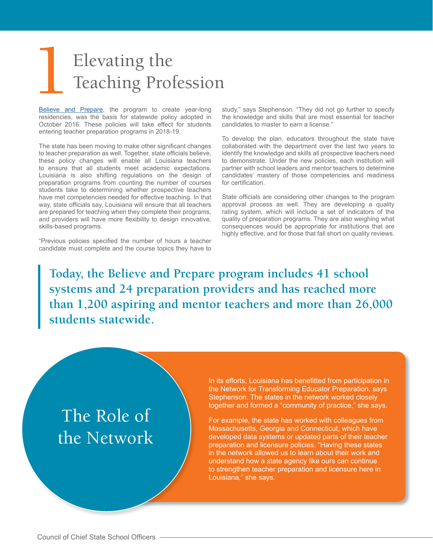# Elevating the Teaching Profession

Believe and Prepare, the program to create year-long residencies, was the basis for statewide policy adopted in October 2016. These policies will take effect for students entering teacher preparation programs in 2018-19.

The state has been moving to make other significant changes to teacher preparation as well. Together, state officials believe, these policy changes will enable all Louisiana teachers to ensure that all students meet academic expectations. Louisiana is also shifting regulations on the design of preparation programs from counting the number of courses students take to determining whether prospective teachers have met competencies needed for effective teaching. In that way, state officials say, Louisiana will ensure that all teachers are prepared for teaching when they complete their programs, and providers will have more flexibility to design innovative, skills-based programs.

"Previous policies specified the number of hours a teacher candidate must complete and the course topics they have to study," says Stephenson. "They did not go further to specify the knowledge and skills that are most essential for teacher candidates to master to earn a license."

To develop the plan, educators throughout the state have collaborated with the department over the last two years to identify the knowledge and skills all prospective teachers need to demonstrate. Under the new policies, each institution will partner with school leaders and mentor teachers to determine candidates' mastery of those competencies and readiness for certification.

State officials are considering other changes to the program approval process as well. They are developing a quality rating system, which will include a set of indicators of the quality of preparation programs. They are also weighing what consequences would be appropriate for institutions that are highly effective, and for those that fall short on quality reviews.

**Today, the Believe and Prepare program includes 41 school systems and 24 preparation providers and has reached more than 1,200 aspiring and mentor teachers and more than 26,000 students statewide.**

### The Role of the Network

In its efforts, Louisiana has benefitted from participation in the Network for Transforming Educator Preparation, says Stephenson. The states in the network worked closely together and formed a "community of practice," she says.

For example, the state has worked with colleagues from Massachusetts, Georgia and Connecticut, which have developed data systems or updated parts of their teacher preparation and licensure policies. "Having these states in the network allowed us to learn about their work and understand how a state agency like ours can continue to strengthen teacher preparation and licensure here in Louisiana," she says.